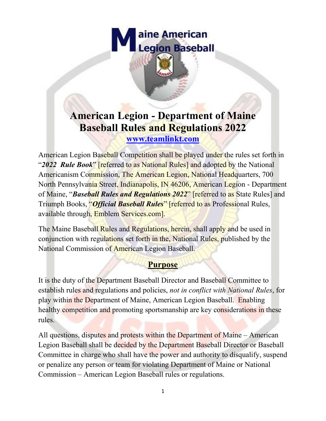

# **American Legion - Department of Maine Baseball Rules and Regulations 2022**

**[www.teamlinkt.com](http://www.teamlinkt.com/)**

American Legion Baseball Competition shall be played under the rules set forth in "*2022 Rule Book*" [referred to as National Rules] and adopted by the National Americanism Commission, The American Legion, National Headquarters, 700 North Pennsylvania Street, Indianapolis, IN 46206, American Legion - Department of Maine, "*Baseball Rules and Regulations 2022*" [referred to as State Rules] and Triumph Books, "*Official Baseball Rules*" [referred to as Professional Rules, available through, Emblem Services.com].

The Maine Baseball Rules and Regulations, herein, shall apply and be used in conjunction with regulations set forth in the, National Rules, published by the National Commission of American Legion Baseball.

## **Purpose**

It is the duty of the Department Baseball Director and Baseball Committee to establish rules and regulations and policies, *not in conflict with National Rules*, for play within the Department of Maine, American Legion Baseball. Enabling healthy competition and promoting sportsmanship are key considerations in these rules.

All questions, disputes and protests within the Department of Maine – American Legion Baseball shall be decided by the Department Baseball Director or Baseball Committee in charge who shall have the power and authority to disqualify, suspend or penalize any person or team for violating Department of Maine or National Commission – American Legion Baseball rules or regulations.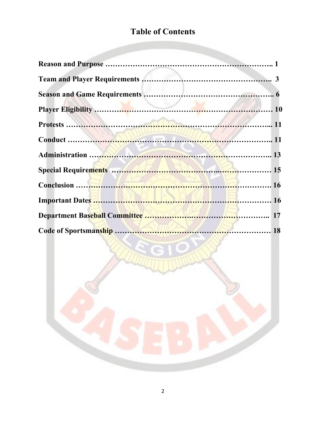# **Table of Contents**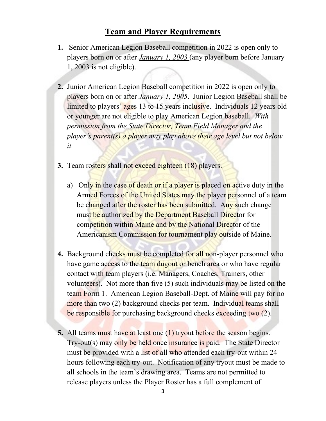#### **Team and Player Requirements**

- **1.** Senior American Legion Baseball competition in 2022 is open only to players born on or after *January 1, 2003* (any player born before January 1, 2003 is not eligible).
- **2.** Junior American Legion Baseball competition in 2022 is open only to players born on or after *January 1, 2005*. Junior Legion Baseball shall be limited to players' ages 13 to 15 years inclusive. Individuals 12 years old or younger are not eligible to play American Legion baseball. *With permission from the State Director, Team Field Manager and the player's parent(s) a player may play above their age level but not below it.*
- **3.** Team rosters shall not exceed eighteen (18) players.
	- a) Only in the case of death or if a player is placed on active duty in the Armed Forces of the United States may the player personnel of a team be changed after the roster has been submitted. Any such change must be authorized by the Department Baseball Director for competition within Maine and by the National Director of the Americanism Commission for tournament play outside of Maine.
- **4.** Background checks must be completed for all non-player personnel who have game access to the team dugout or bench area or who have regular contact with team players (i.e. Managers, Coaches, Trainers, other volunteers). Not more than five (5) such individuals may be listed on the team Form 1. American Legion Baseball-Dept. of Maine will pay for no more than two (2) background checks per team. Individual teams shall be responsible for purchasing background checks exceeding two (2).
- **5.** All teams must have at least one (1) tryout before the season begins. Try-out(s) may only be held once insurance is paid. The State Director must be provided with a list of all who attended each try-out within 24 hours following each try-out. Notification of any tryout must be made to all schools in the team's drawing area. Teams are not permitted to release players unless the Player Roster has a full complement of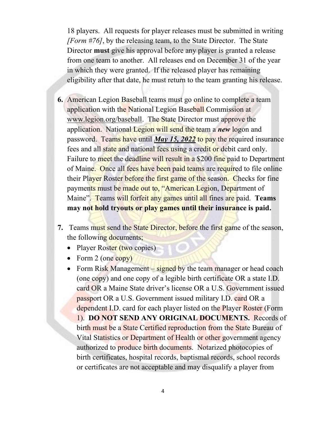18 players. All requests for player releases must be submitted in writing *[Form #76]*, by the releasing team, to the State Director. The State Director **must** give his approval before any player is granted a release from one team to another. All releases end on December 31 of the year in which they were granted. If the released player has remaining eligibility after that date, he must return to the team granting his release.

- **6.** American Legion Baseball teams must go online to complete a team application with the National Legion Baseball Commission at [www.legion.org/baseball.](http://www.legion.org/baseball) The State Director must approve the application. National Legion will send the team a *new* logon and password. Teams have until *May 15, 2022* to pay the required insurance fees and all state and national fees using a credit or debit card only. Failure to meet the deadline will result in a \$200 fine paid to Department of Maine. Once all fees have been paid teams are required to file online their Player Roster before the first game of the season. Checks for fine payments must be made out to, "American Legion, Department of Maine". Teams will forfeit any games until all fines are paid. **Teams may not hold tryouts or play games until their insurance is paid.**
- **7.** Teams must send the State Director, before the first game of the season, the following documents;
	- Player Roster (two copies)
	- Form 2 (one copy)
	- Form Risk Management signed by the team manager or head coach (one copy) and one copy of a legible birth certificate OR a state I.D. card OR a Maine State driver's license OR a U.S. Government issued passport OR a U.S. Government issued military I.D. card OR a dependent I.D. card for each player listed on the Player Roster (Form 1). **DO NOT SEND ANY ORIGINAL DOCUMENTS.** Records of birth must be a State Certified reproduction from the State Bureau of Vital Statistics or Department of Health or other government agency authorized to produce birth documents. Notarized photocopies of birth certificates, hospital records, baptismal records, school records or certificates are not acceptable and may disqualify a player from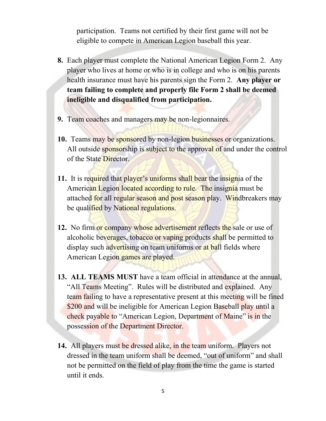participation. Teams not certified by their first game will not be eligible to compete in American Legion baseball this year.

- **8.** Each player must complete the National American Legion Form 2. Any player who lives at home or who is in college and who is on his parents health insurance must have his parents sign the Form 2. **Any player or team failing to complete and properly file Form 2 shall be deemed ineligible and disqualified from participation.**
- **9.** Team coaches and managers may be non-legionnaires.
- **10.** Teams may be sponsored by non-legion businesses or organizations. All outside sponsorship is subject to the approval of and under the control of the State Director.
- **11.** It is required that player's uniforms shall bear the insignia of the American Legion located according to rule. The insignia must be attached for all regular season and post season play. Windbreakers may be qualified by National regulations.
- **12.** No firm or company whose advertisement reflects the sale or use of alcoholic beverages, tobacco or vaping products shall be permitted to display such advertising on team uniforms or at ball fields where American Legion games are played.
- **13. ALL TEAMS MUST** have a team official in attendance at the annual, "All Teams Meeting". Rules will be distributed and explained. Any team failing to have a representative present at this meeting will be fined \$200 and will be ineligible for American Legion Baseball play until a check payable to "American Legion, Department of Maine" is in the possession of the Department Director.
- **14.** All players must be dressed alike, in the team uniform. Players not dressed in the team uniform shall be deemed, "out of uniform" and shall not be permitted on the field of play from the time the game is started until it ends.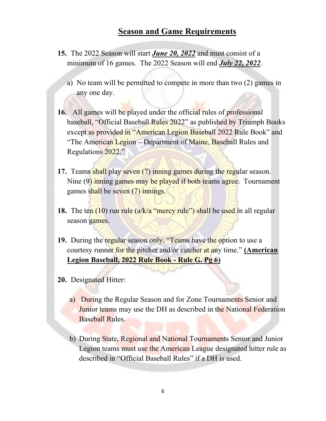#### **Season and Game Requirements**

- **15.** The 2022 Season will start *June 20, 2022* and must consist of a minimum of 16 games. The 2022 Season will end *July 22, 2022*.
	- a) No team will be permitted to compete in more than two (2) games in any one day.
- **16.** All games will be played under the official rules of professional baseball, "Official Baseball Rules 2022" as published by Triumph Books except as provided in "American Legion Baseball 2022 Rule Book" and "The American Legion – Department of Maine, Baseball Rules and Regulations 2022."
- **17.** Teams shall play seven (7) inning games during the regular season. Nine (9) inning games may be played if both teams agree. Tournament games shall be seven (7) innings.
- **18.** The ten (10) run rule (a/k/a "mercy rule") shall be used in all regular season games.
- **19.** During the regular season only, "Teams have the option to use a courtesy runner for the pitcher and/or catcher at any time." **(American Legion Baseball, 2022 Rule Book - Rule G. Pg 6)**
- **20.** Designated Hitter:
	- a) During the Regular Season and for Zone Tournaments Senior and Junior teams may use the DH as described in the National Federation Baseball Rules.
	- b) During State, Regional and National Tournaments Senior and Junior Legion teams must use the American League designated hitter rule as described in "Official Baseball Rules" if a DH is used.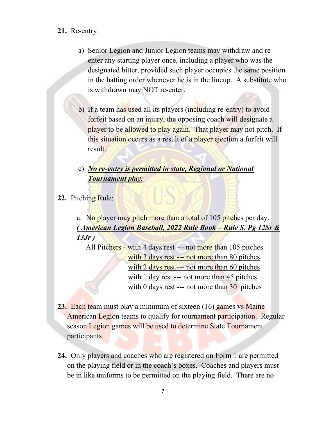#### **21.** Re-entry:

- a) Senior Legion and Junior Legion teams may withdraw and reenter any starting player once, including a player who was the designated hitter, provided such player occupies the same position in the batting order whenever he is in the lineup. A substitute who is withdrawn may NOT re-enter.
- b) If a team has used all its players (including re-entry) to avoid forfeit based on an injury, the opposing coach will designate a player to be allowed to play again. That player may not pitch. If this situation occurs as a result of a player ejection a forfeit will result.
- c) *No re-entry is permitted in state, Regional or National Tournament play.*
- **22.** Pitching Rule:

a. No player may pitch more than a total of 105 pitches per day. *( American Legion Baseball, 2022 Rule Book – Rule S. Pg 12Sr & 13Jr )*

All Pitchers - with 4 days rest --- not more than 105 pitches with 3 days rest --- not more than 80 pitches with 2 days rest --- not more than 60 pitches with 1 day rest --- not more than 45 pitches with 0 days rest --- not more than 30 pitches

- **23.** Each team must play a minimum of sixteen (16) games vs Maine American Legion teams to qualify for tournament participation. Regular season Legion games will be used to determine State Tournament participants.
- **24.** Only players and coaches who are registered on Form 1 are permitted on the playing field or in the coach's boxes. Coaches and players must be in like uniforms to be permitted on the playing field. There are no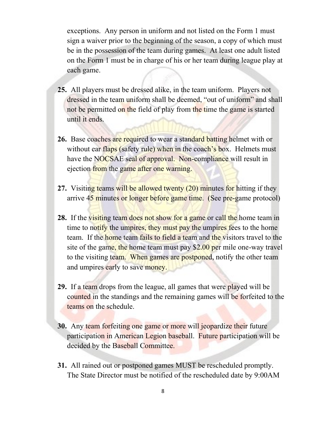exceptions. Any person in uniform and not listed on the Form 1 must sign a waiver prior to the beginning of the season, a copy of which must be in the possession of the team during games. At least one adult listed on the Form 1 must be in charge of his or her team during league play at each game.

- **25.** All players must be dressed alike, in the team uniform. Players not dressed in the team uniform shall be deemed, "out of uniform" and shall not be permitted on the field of play from the time the game is started until it ends.
- **26.** Base coaches are required to wear a standard batting helmet with or without ear flaps (safety rule) when in the coach's box. Helmets must have the NOCSAE seal of approval. Non-compliance will result in ejection from the game after one warning.
- **27.** Visiting teams will be allowed twenty (20) minutes for hitting if they arrive 45 minutes or longer before game time. (See pre-game protocol)
- **28.** If the visiting team does not show for a game or call the home team in time to notify the umpires, they must pay the umpires fees to the home team. If the home team fails to field a team and the visitors travel to the site of the game, the home team must pay \$2.00 per mile one-way travel to the visiting team. When games are postponed, notify the other team and umpires early to save money.
- **29.** If a team drops from the league, all games that were played will be counted in the standings and the remaining games will be forfeited to the teams on the schedule.
- **30.** Any team forfeiting one game or more will jeopardize their future participation in American Legion baseball. Future participation will be decided by the Baseball Committee.
- **31.** All rained out or postponed games MUST be rescheduled promptly. The State Director must be notified of the rescheduled date by 9:00AM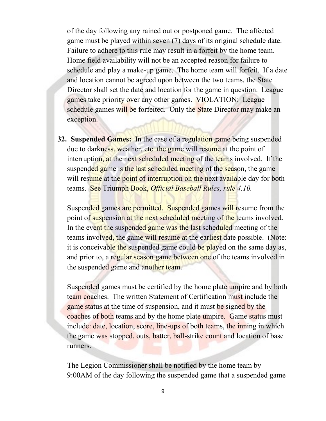of the day following any rained out or postponed game. The affected game must be played within seven (7) days of its original schedule date. Failure to adhere to this rule may result in a forfeit by the home team. Home field availability will not be an accepted reason for failure to schedule and play a make-up game. The home team will forfeit. If a date and location cannot be agreed upon between the two teams, the State Director shall set the date and location for the game in question. League games take priority over any other games. VIOLATION: League schedule games will be forfeited. Only the State Director may make an exception.

**32. Suspended Games:** In the case of a regulation game being suspended due to darkness, weather, etc. the game will resume at the point of interruption, at the next scheduled meeting of the teams involved. If the suspended game is the last scheduled meeting of the season, the game will resume at the point of interruption on the next available day for both teams. See Triumph Book, *Official Baseball Rules, rule 4.10.*

Suspended games are permitted. Suspended games will resume from the point of suspension at the next scheduled meeting of the teams involved. In the event the suspended game was the last scheduled meeting of the teams involved, the game will resume at the earliest date possible. (Note: it is conceivable the suspended game could be played on the same day as, and prior to, a regular season game between one of the teams involved in the suspended game and another team.

Suspended games must be certified by the home plate umpire and by both team coaches. The written Statement of Certification must include the game status at the time of suspension, and it must be signed by the coaches of both teams and by the home plate umpire. Game status must include: date, location, score, line-ups of both teams, the inning in which the game was stopped, outs, batter, ball-strike count and location of base runners.

The Legion Commissioner shall be notified by the home team by 9:00AM of the day following the suspended game that a suspended game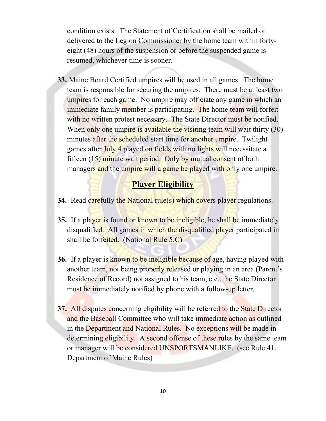condition exists. The Statement of Certification shall be mailed or delivered to the Legion Commissioner by the home team within fortyeight (48) hours of the suspension or before the suspended game is resumed, whichever time is sooner.

**33.** Maine Board Certified umpires will be used in all games. The home team is responsible for securing the umpires. There must be at least two umpires for each game. No umpire may officiate any game in which an immediate family member is participating. The home team will forfeit with no written protest necessary. The State Director must be notified. When only one umpire is available the visiting team will wait thirty (30) minutes after the scheduled start time for another umpire. Twilight games after July 4 played on fields with no lights will necessitate a fifteen (15) minute wait period. Only by mutual consent of both managers and the umpire will a game be played with only one umpire.

#### **Player Eligibility**

- **34.** Read carefully the National rule(s) which covers player regulations.
- **35.** If a player is found or known to be ineligible, he shall be immediately disqualified. All games in which the disqualified player participated in shall be forfeited. (National Rule 5.C)
- **36.** If a player is known to be ineligible because of age, having played with another team, not being properly released or playing in an area (Parent's Residence of Record) not assigned to his team, etc., the State Director must be immediately notified by phone with a follow-up letter.
- **37.** All disputes concerning eligibility will be referred to the State Director and the Baseball Committee who will take immediate action as outlined in the Department and National Rules. No exceptions will be made in determining eligibility. A second offense of these rules by the same team or manager will be considered UNSPORTSMANLIKE. (see Rule 41, Department of Maine Rules)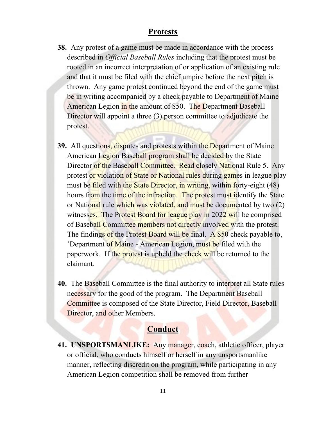#### **Protests**

- **38.** Any protest of a game must be made in accordance with the process described in *Official Baseball Rules* including that the protest must be rooted in an incorrect interpretation of or application of an existing rule and that it must be filed with the chief umpire before the next pitch is thrown. Any game protest continued beyond the end of the game must be in writing accompanied by a check payable to Department of Maine American Legion in the amount of \$50. The Department Baseball Director will appoint a three (3) person committee to adjudicate the protest.
- **39.** All questions, disputes and protests within the Department of Maine American Legion Baseball program shall be decided by the State Director of the Baseball Committee. Read closely National Rule 5. Any protest or violation of State or National rules during games in league play must be filed with the State Director, in writing, within forty-eight (48) hours from the time of the infraction. The protest must identify the State or National rule which was violated, and must be documented by two (2) witnesses. The Protest Board for league play in 2022 will be comprised of Baseball Committee members not directly involved with the protest. The findings of the Protest Board will be final. A \$50 check payable to, 'Department of Maine - American Legion, must be filed with the paperwork. If the protest is upheld the check will be returned to the claimant.
- **40.** The Baseball Committee is the final authority to interpret all State rules necessary for the good of the program. The Department Baseball Committee is composed of the State Director, Field Director, Baseball Director, and other Members.

#### **Conduct**

**41. UNSPORTSMANLIKE:** Any manager, coach, athletic officer, player or official, who conducts himself or herself in any unsportsmanlike manner, reflecting discredit on the program, while participating in any American Legion competition shall be removed from further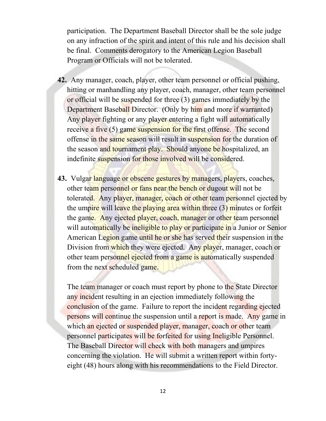participation. The Department Baseball Director shall be the sole judge on any infraction of the spirit and intent of this rule and his decision shall be final. Comments derogatory to the American Legion Baseball Program or Officials will not be tolerated.

- **42.** Any manager, coach, player, other team personnel or official pushing, hitting or manhandling any player, coach, manager, other team personnel or official will be suspended for three (3) games immediately by the Department Baseball Director. (Only by him and more if warranted) Any player fighting or any player entering a fight will automatically receive a five (5) game suspension for the first offense. The second offense in the same season will result in suspension for the duration of the season and tournament play. Should anyone be hospitalized, an indefinite suspension for those involved will be considered.
- **43.** Vulgar language or obscene gestures by managers, players, coaches, other team personnel or fans near the bench or dugout will not be tolerated. Any player, manager, coach or other team personnel ejected by the umpire will leave the playing area within three (3) minutes or forfeit the game. Any ejected player, coach, manager or other team personnel will automatically be ineligible to play or participate in a Junior or Senior American Legion game until he or she has served their suspension in the Division from which they were ejected. Any player, manager, coach or other team personnel ejected from a game is automatically suspended from the next scheduled game.

The team manager or coach must report by phone to the State Director any incident resulting in an ejection immediately following the conclusion of the game. Failure to report the incident regarding ejected persons will continue the suspension until a report is made. Any game in which an ejected or suspended player, manager, coach or other team personnel participates will be forfeited for using Ineligible Personnel. The Baseball Director will check with both managers and umpires concerning the violation. He will submit a written report within fortyeight (48) hours along with his recommendations to the Field Director.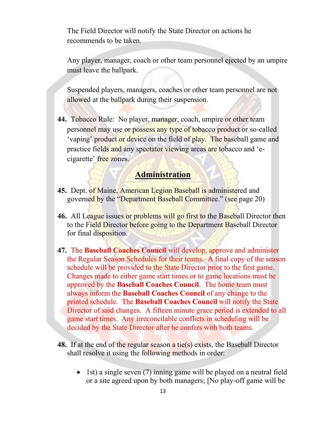The Field Director will notify the State Director on actions he recommends to be taken.

Any player, manager, coach or other team personnel ejected by an umpire must leave the ballpark.

Suspended players, managers, coaches or other team personnel are not allowed at the ballpark during their suspension.

**44.** Tobacco Rule: No player, manager, coach, umpire or other team personnel may use or possess any type of tobacco product or so-called 'vaping' product or device on the field of play. The baseball game and practice fields and any spectator viewing areas are tobacco and 'ecigarette' free zones.

#### **Administration**

- **45.** Dept. of Maine, American Legion Baseball is administered and governed by the "Department Baseball Committee." (see page 20)
- **46.** All League issues or problems will go first to the Baseball Director then to the Field Director before going to the Department Baseball Director for final disposition.
- **47.** The **Baseball Coaches Council** will develop, approve and administer the Regular Season Schedules for their teams. A final copy of the season schedule will be provided to the State Director prior to the first game. Changes made to either game start times or to game locations must be approved by the **Baseball Coaches Council**. The home team must always inform the **Baseball Coaches Council** of any change to the printed schedule. The **Baseball Coaches Council** will notify the State Director of said changes. A fifteen minute grace period is extended to all game start times. Any irreconcilable conflicts in scheduling will be decided by the State Director after he confers with both teams.
- **48.** If at the end of the regular season a tie(s) exists, the Baseball Director shall resolve it using the following methods in order:
	- 1st) a single seven (7) inning game will be played on a neutral field or a site agreed upon by both managers; [No play-off game will be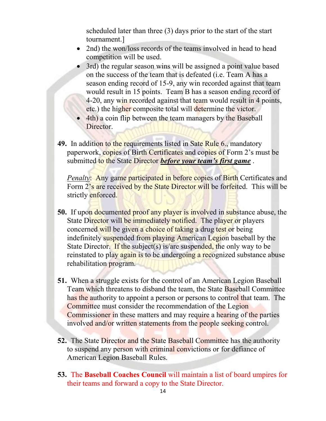scheduled later than three (3) days prior to the start of the start tournament.]

- 2nd) the won/loss records of the teams involved in head to head competition will be used.
- 3rd) the regular season wins will be assigned a point value based on the success of the team that is defeated (i.e. Team A has a season ending record of 15-9, any win recorded against that team would result in 15 points. Team B has a season ending record of 4-20, any win recorded against that team would result in 4 points, etc.) the higher composite total will determine the victor.
- 4th) a coin flip between the team managers by the Baseball Director.
- **49.** In addition to the requirements listed in Sate Rule 6., mandatory paperwork, copies of Birth Certificates and copies of Form 2's must be submitted to the State Director *before your team's first game* .

*Penalty*: Any game participated in before copies of Birth Certificates and Form 2's are received by the State Director will be forfeited. This will be strictly enforced.

- **50.** If upon documented proof any player is involved in substance abuse, the State Director will be immediately notified. The player or players concerned will be given a choice of taking a drug test or being indefinitely suspended from playing American Legion baseball by the State Director. If the subject(s) is/are suspended, the only way to be reinstated to play again is to be undergoing a recognized substance abuse rehabilitation program.
- **51.** When a struggle exists for the control of an American Legion Baseball Team which threatens to disband the team, the State Baseball Committee has the authority to appoint a person or persons to control that team. The Committee must consider the recommendation of the Legion Commissioner in these matters and may require a hearing of the parties involved and/or written statements from the people seeking control.
- **52.** The State Director and the State Baseball Committee has the authority to suspend any person with criminal convictions or for defiance of American Legion Baseball Rules.
- **53.** The **Baseball Coaches Council** will maintain a list of board umpires for their teams and forward a copy to the State Director.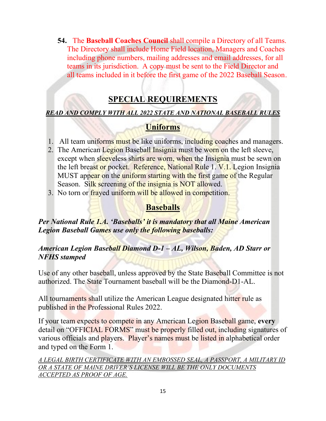**54.** The **Baseball Coaches Council** shall compile a Directory of all Teams. The Directory shall include Home Field location, Managers and Coaches including phone numbers, mailing addresses and email addresses, for all teams in its jurisdiction. A copy must be sent to the Field Director and all teams included in it before the first game of the 2022 Baseball Season.

## **SPECIAL REQUIREMENTS**

#### *READ AND COMPLY WITH ALL 2022 STATE AND NATIONAL BASEBALL RULES*

## **Uniforms**

- 1. All team uniforms must be like uniforms, including coaches and managers.
- 2. The American Legion Baseball Insignia must be worn on the left sleeve, except when sleeveless shirts are worn, when the Insignia must be sewn on the left breast or pocket. Reference, National Rule 1. V.1. Legion Insignia MUST appear on the uniform starting with the first game of the Regular Season. Silk screening of the insignia is NOT allowed.
- 3. No torn or frayed uniform will be allowed in competition.

## **Baseballs**

*Per National Rule 1.A. 'Baseballs' it is mandatory that all Maine American Legion Baseball Games use only the following baseballs:*

#### *American Legion Baseball Diamond D-1 – AL, Wilson, Baden, AD Starr or NFHS stamped*

Use of any other baseball, unless approved by the State Baseball Committee is not authorized. The State Tournament baseball will be the Diamond-D1-AL.

All tournaments shall utilize the American League designated hitter rule as published in the Professional Rules 2022.

If your team expects to compete in any American Legion Baseball game, **every** detail on "OFFICIAL FORMS" must be properly filled out, including signatures of various officials and players. Player's names must be listed in alphabetical order and typed on the Form 1.

*A LEGAL BIRTH CERTIFICATE WITH AN EMBOSSED SEAL, A PASSPORT, A MILITARY ID OR A STATE OF MAINE DRIVER'S LICENSE WILL BE THE ONLY DOCUMENTS ACCEPTED AS PROOF OF AGE.*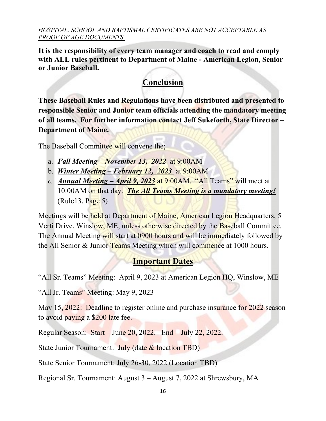#### *HOSPITAL, SCHOOL AND BAPTISMAL CERTIFICATES ARE NOT ACCEPTABLE AS PROOF OF AGE DOCUMENTS.*

**It is the responsibility of every team manager and coach to read and comply with ALL rules pertinent to Department of Maine - American Legion, Senior or Junior Baseball.**

# **Conclusion**

**These Baseball Rules and Regulations have been distributed and presented to responsible Senior and Junior team officials attending the mandatory meeting of all teams. For further information contact Jeff Sukeforth, State Director – Department of Maine.**

The Baseball Committee will convene the;

- a. *Fall Meeting – November 13, 2022* at 9:00AM
- b. *Winter Meeting – February 12, 2023* at 9:00AM
- c. *Annual Meeting – April 9, 2023* at 9:00AM. "All Teams" will meet at 10:00AM on that day. *The All Teams Meeting is a mandatory meeting!*   $(Rule13. Page 5)$

Meetings will be held at Department of Maine, American Legion Headquarters, 5 Verti Drive, Winslow, ME, unless otherwise directed by the Baseball Committee. The Annual Meeting will start at 0900 hours and will be immediately followed by the All Senior & Junior Teams Meeting which will commence at 1000 hours.

# **Important Dates**

"All Sr. Teams" Meeting: April 9, 2023 at American Legion HQ, Winslow, ME

"All Jr. Teams" Meeting: May 9, 2023

May 15, 2022: Deadline to register online and purchase insurance for 2022 season to avoid paying a \$200 late fee.

Regular Season: Start – June 20, 2022. End – July 22, 2022.

State Junior Tournament: July (date & location TBD)

State Senior Tournament: July 26-30, 2022 (Location TBD)

Regional Sr. Tournament: August 3 – August 7, 2022 at Shrewsbury, MA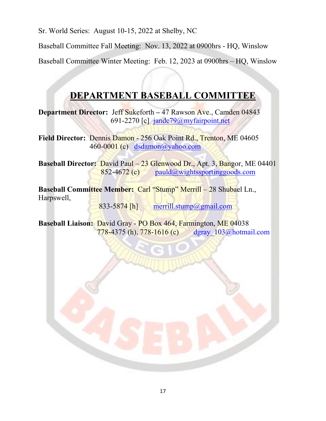Sr. World Series: August 10-15, 2022 at Shelby, NC

Baseball Committee Fall Meeting: Nov. 13, 2022 at 0900hrs - HQ, Winslow

Baseball Committee Winter Meeting: Feb. 12, 2023 at 0900hrs – HQ, Winslow

# **DEPARTMENT BASEBALL COMMITTEE**

**Department Director:** Jeff Sukeforth **–** 47 Rawson Ave., Camden 04843 691-2270 [c] [jandc79@myfairpoint.net](mailto:jandc79@myfairpoint.net)

**Field Director:** Dennis Damon - 256 Oak Point Rd., Trenton, ME 04605 460-0001 (c) [dsdamon@yahoo.com](mailto:dsdamon@yahoo.com)

**Baseball Director:** David Paul – 23 Glenwood Dr., Apt. 3, Bangor, ME 04401  $852-4672$  (c) [pauld@wightssportinggoods.com](mailto:pauld@wightssportinggoods.com)

**Baseball Committee Member:** Carl "Stump" Merrill – 28 Shubael Ln., Harpswell,

833-5874 [h] [merrill.stump@gmail.com](mailto:merrill.stump@gmail.com)

**Baseball Liaison:** David Gray - PO Box 464, Farmington, ME 04038 778-4375 (h), 778-1616 (c) [dgray\\_103@hotmail.com](mailto:dgray_103@hotmail.com)